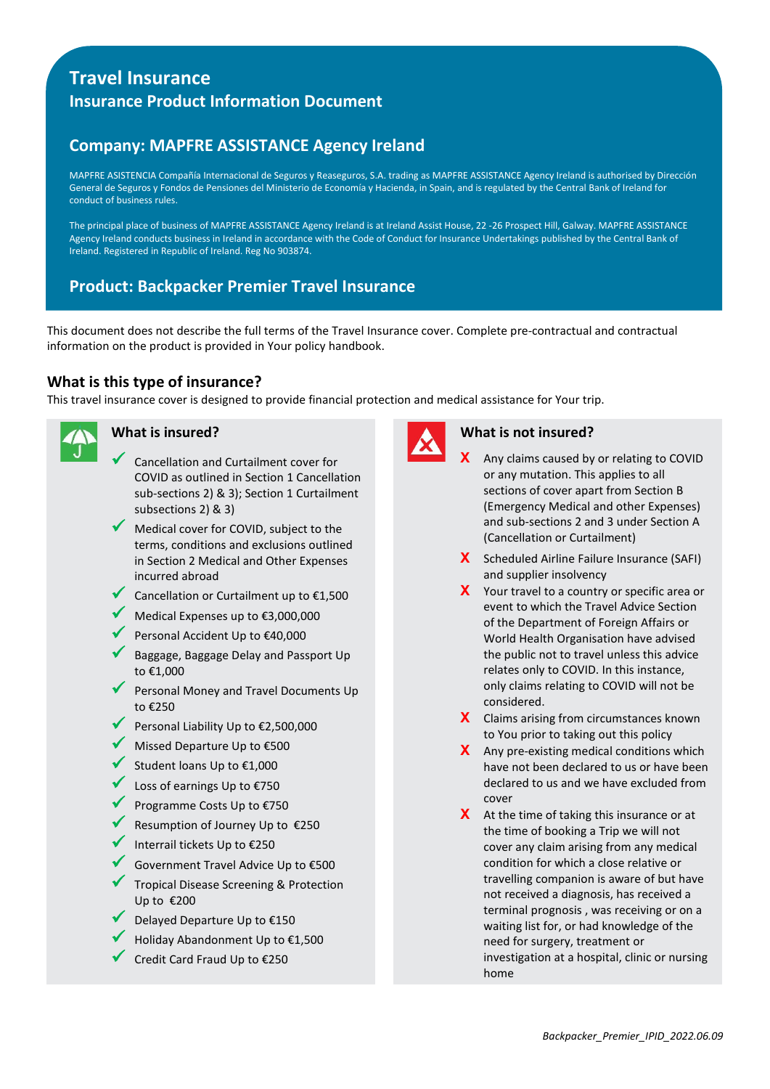# **Travel Insurance Insurance Product Information Document**

# **Company: MAPFRE ASSISTANCE Agency Ireland**

MAPFRE ASISTENCIA Compañía Internacional de Seguros y Reaseguros, S.A. trading as MAPFRE ASSISTANCE Agency Ireland is authorised by Dirección General de Seguros y Fondos de Pensiones del Ministerio de Economía y Hacienda, in Spain, and is regulated by the Central Bank of Ireland for conduct of business rules.

The principal place of business of MAPFRE ASSISTANCE Agency Ireland is at Ireland Assist House, 22 -26 Prospect Hill, Galway. MAPFRE ASSISTANCE Agency Ireland conducts business in Ireland in accordance with the Code of Conduct for Insurance Undertakings published by the Central Bank of Ireland. Registered in Republic of Ireland. Reg No 903874.

# **Product: Backpacker Premier Travel Insurance**

This document does not describe the full terms of the Travel Insurance cover. Complete pre-contractual and contractual information on the product is provided in Your policy handbook.

## **What is this type of insurance?**

This travel insurance cover is designed to provide financial protection and medical assistance for Your trip.



## **What is insured?**

- Cancellation and Curtailment cover for COVID as outlined in Section 1 Cancellation sub-sections 2) & 3); Section 1 Curtailment subsections 2) & 3)
- Medical cover for COVID, subject to the terms, conditions and exclusions outlined in Section 2 Medical and Other Expenses incurred abroad
- Cancellation or Curtailment up to  $£1,500$
- Medical Expenses up to €3,000,000
- Personal Accident Up to €40,000
- Baggage, Baggage Delay and Passport Up to €1,000
- Personal Money and Travel Documents Up to €250
- Personal Liability Up to €2,500,000
- Missed Departure Up to €500
- Student loans Up to €1,000
- Loss of earnings Up to €750
- Programme Costs Up to €750
- Resumption of Journey Up to €250
- Interrail tickets Up to  $\epsilon$ 250
- Government Travel Advice Up to €500
- Tropical Disease Screening & Protection Up to €200
- Delayed Departure Up to €150
- Holiday Abandonment Up to €1,500
- Credit Card Fraud Up to €250



#### **What is not insured?**

- **X** Any claims caused by or relating to COVID or any mutation. This applies to all sections of cover apart from Section B (Emergency Medical and other Expenses) and sub-sections 2 and 3 under Section A (Cancellation or Curtailment)
- **X** Scheduled Airline Failure Insurance (SAFI) and supplier insolvency
- **X** Your travel to a country or specific area or event to which the Travel Advice Section of the Department of Foreign Affairs or World Health Organisation have advised the public not to travel unless this advice relates only to COVID. In this instance, only claims relating to COVID will not be considered.
- **X** Claims arising from circumstances known to You prior to taking out this policy
- **X** Any pre-existing medical conditions which have not been declared to us or have been declared to us and we have excluded from cover
- **X** At the time of taking this insurance or at the time of booking a Trip we will not cover any claim arising from any medical condition for which a close relative or travelling companion is aware of but have not received a diagnosis, has received a terminal prognosis , was receiving or on a waiting list for, or had knowledge of the need for surgery, treatment or investigation at a hospital, clinic or nursing home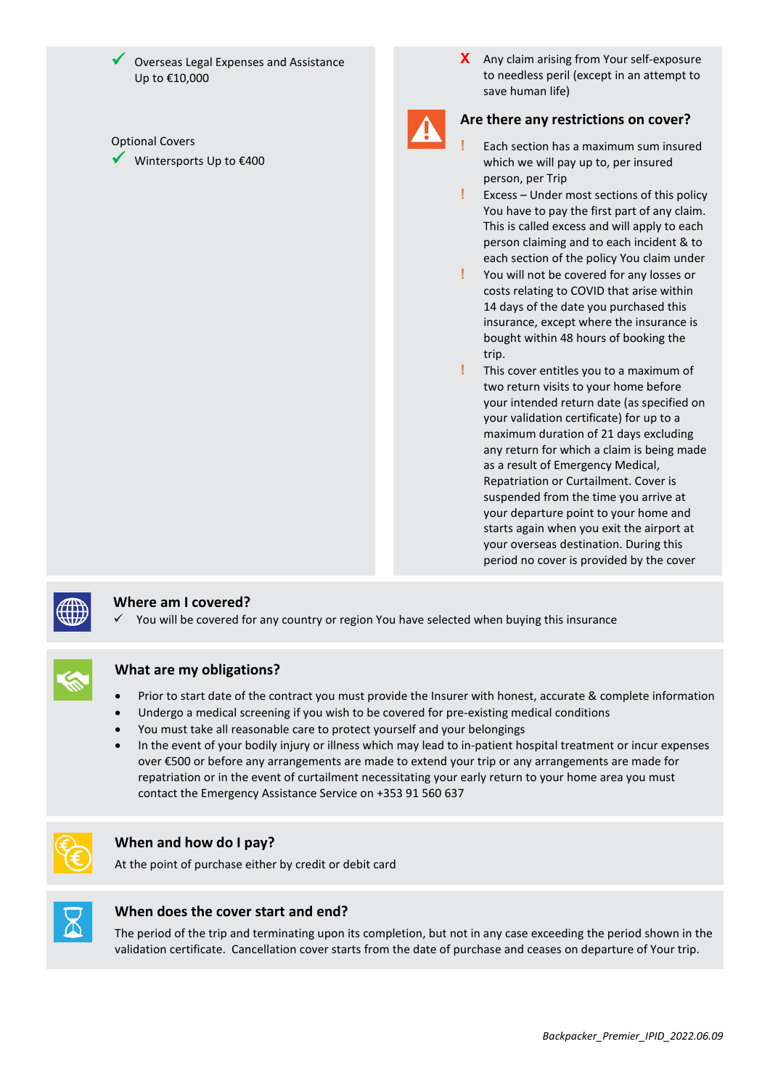Overseas Legal Expenses and Assistance Up to €10,000

#### Optional Covers

Wintersports Up to €400

**X** Any claim arising from Your self-exposure to needless peril (except in an attempt to save human life)



## **Are there any restrictions on cover?**

- **!** Each section has a maximum sum insured which we will pay up to, per insured person, per Trip
- **!** Excess Under most sections of this policy You have to pay the first part of any claim. This is called excess and will apply to each person claiming and to each incident & to each section of the policy You claim under
- **!** You will not be covered for any losses or costs relating to COVID that arise within 14 days of the date you purchased this insurance, except where the insurance is bought within 48 hours of booking the trip.
- **!** This cover entitles you to a maximum of two return visits to your home before your intended return date (as specified on your validation certificate) for up to a maximum duration of 21 days excluding any return for which a claim is being made as a result of Emergency Medical, Repatriation or Curtailment. Cover is suspended from the time you arrive at your departure point to your home and starts again when you exit the airport at your overseas destination. During this period no cover is provided by the cover



### **Where am I covered?**

You will be covered for any country or region You have selected when buying this insurance



### **What are my obligations?**

- Prior to start date of the contract you must provide the Insurer with honest, accurate & complete information
- Undergo a medical screening if you wish to be covered for pre-existing medical conditions
- You must take all reasonable care to protect yourself and your belongings
- In the event of your bodily injury or illness which may lead to in-patient hospital treatment or incur expenses over €500 or before any arrangements are made to extend your trip or any arrangements are made for repatriation or in the event of curtailment necessitating your early return to your home area you must contact the Emergency Assistance Service on +353 91 560 637



#### **When and how do I pay?**

At the point of purchase either by credit or debit card



#### **When does the cover start and end?**

The period of the trip and terminating upon its completion, but not in any case exceeding the period shown in the validation certificate. Cancellation cover starts from the date of purchase and ceases on departure of Your trip.